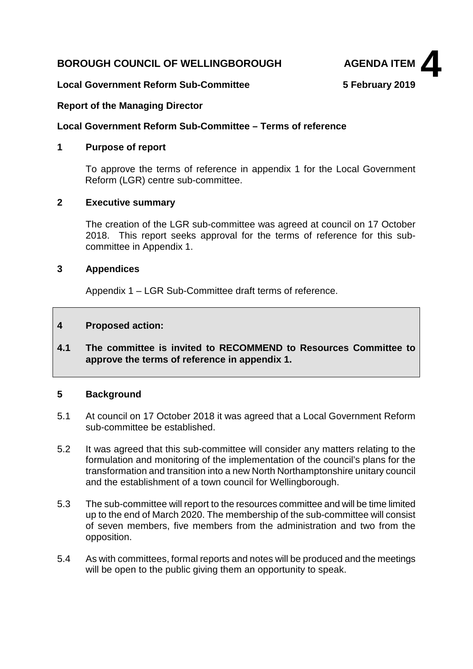# **BOROUGH COUNCIL OF WELLINGBOROUGH AGENDA ITEM**



# **Local Government Reform Sub-Committee 5 February 2019**

# **Report of the Managing Director**

#### **Local Government Reform Sub-Committee – Terms of reference**

# **1 Purpose of report**

To approve the terms of reference in appendix 1 for the Local Government Reform (LGR) centre sub-committee.

# **2 Executive summary**

The creation of the LGR sub-committee was agreed at council on 17 October 2018. This report seeks approval for the terms of reference for this subcommittee in Appendix 1.

# **3 Appendices**

Appendix 1 – LGR Sub-Committee draft terms of reference.

# **4 Proposed action:**

**4.1 The committee is invited to RECOMMEND to Resources Committee to approve the terms of reference in appendix 1.**

#### **5 Background**

- 5.1 At council on 17 October 2018 it was agreed that a Local Government Reform sub-committee be established.
- 5.2 It was agreed that this sub-committee will consider any matters relating to the formulation and monitoring of the implementation of the council's plans for the transformation and transition into a new North Northamptonshire unitary council and the establishment of a town council for Wellingborough.
- 5.3 The sub-committee will report to the resources committee and will be time limited up to the end of March 2020. The membership of the sub-committee will consist of seven members, five members from the administration and two from the opposition.
- 5.4 As with committees, formal reports and notes will be produced and the meetings will be open to the public giving them an opportunity to speak.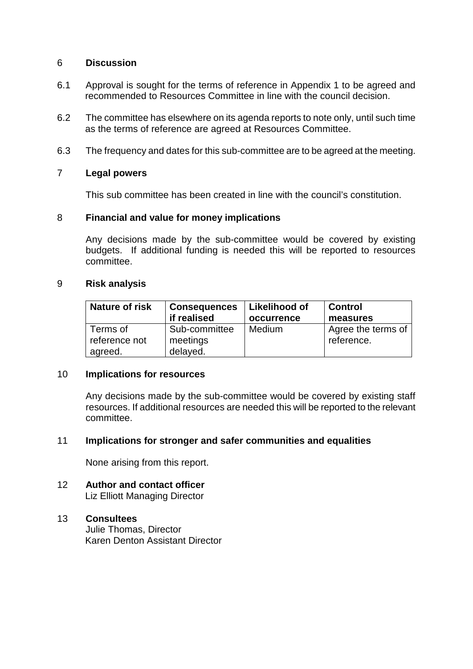# 6 **Discussion**

- 6.1 Approval is sought for the terms of reference in Appendix 1 to be agreed and recommended to Resources Committee in line with the council decision.
- 6.2 The committee has elsewhere on its agenda reports to note only, until such time as the terms of reference are agreed at Resources Committee.
- 6.3 The frequency and dates for this sub-committee are to be agreed at the meeting.

# 7 **Legal powers**

This sub committee has been created in line with the council's constitution.

# 8 **Financial and value for money implications**

Any decisions made by the sub-committee would be covered by existing budgets. If additional funding is needed this will be reported to resources committee.

#### 9 **Risk analysis**

| <b>Nature of risk</b>                | <b>Consequences</b>                   | Likelihood of | <b>Control</b>                   |
|--------------------------------------|---------------------------------------|---------------|----------------------------------|
|                                      | if realised                           | occurrence    | measures                         |
| Terms of<br>reference not<br>agreed. | Sub-committee<br>meetings<br>delayed. | <b>Medium</b> | Agree the terms of<br>reference. |

#### 10 **Implications for resources**

Any decisions made by the sub-committee would be covered by existing staff resources. If additional resources are needed this will be reported to the relevant committee.

# 11 **Implications for stronger and safer communities and equalities**

None arising from this report.

12 **Author and contact officer** Liz Elliott Managing Director

# 13 **Consultees**

Julie Thomas, Director Karen Denton Assistant Director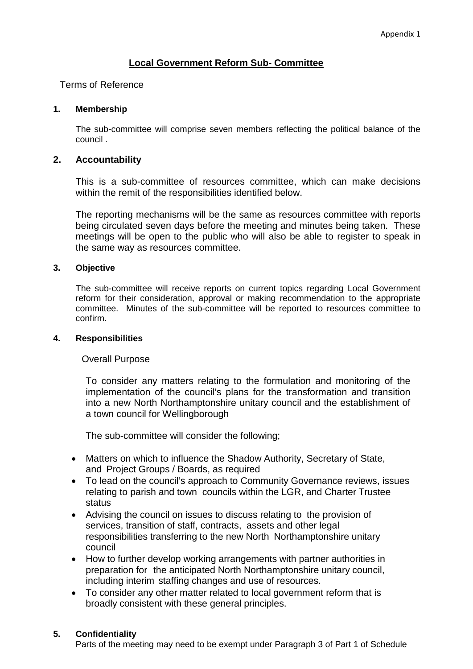# **Local Government Reform Sub- Committee**

#### Terms of Reference

#### **1. Membership**

The sub-committee will comprise seven members reflecting the political balance of the council .

# **2. Accountability**

This is a sub-committee of resources committee, which can make decisions within the remit of the responsibilities identified below.

The reporting mechanisms will be the same as resources committee with reports being circulated seven days before the meeting and minutes being taken. These meetings will be open to the public who will also be able to register to speak in the same way as resources committee.

# **3. Objective**

The sub-committee will receive reports on current topics regarding Local Government reform for their consideration, approval or making recommendation to the appropriate committee. Minutes of the sub-committee will be reported to resources committee to confirm.

#### **4. Responsibilities**

#### Overall Purpose

To consider any matters relating to the formulation and monitoring of the implementation of the council's plans for the transformation and transition into a new North Northamptonshire unitary council and the establishment of a town council for Wellingborough

The sub-committee will consider the following;

- Matters on which to influence the Shadow Authority, Secretary of State, and Project Groups / Boards, as required
- To lead on the council's approach to Community Governance reviews, issues relating to parish and town councils within the LGR, and Charter Trustee status
- Advising the council on issues to discuss relating to the provision of services, transition of staff, contracts, assets and other legal responsibilities transferring to the new North Northamptonshire unitary council
- How to further develop working arrangements with partner authorities in preparation for the anticipated North Northamptonshire unitary council, including interim staffing changes and use of resources.
- To consider any other matter related to local government reform that is broadly consistent with these general principles.

#### **5. Confidentiality**

Parts of the meeting may need to be exempt under Paragraph 3 of Part 1 of Schedule